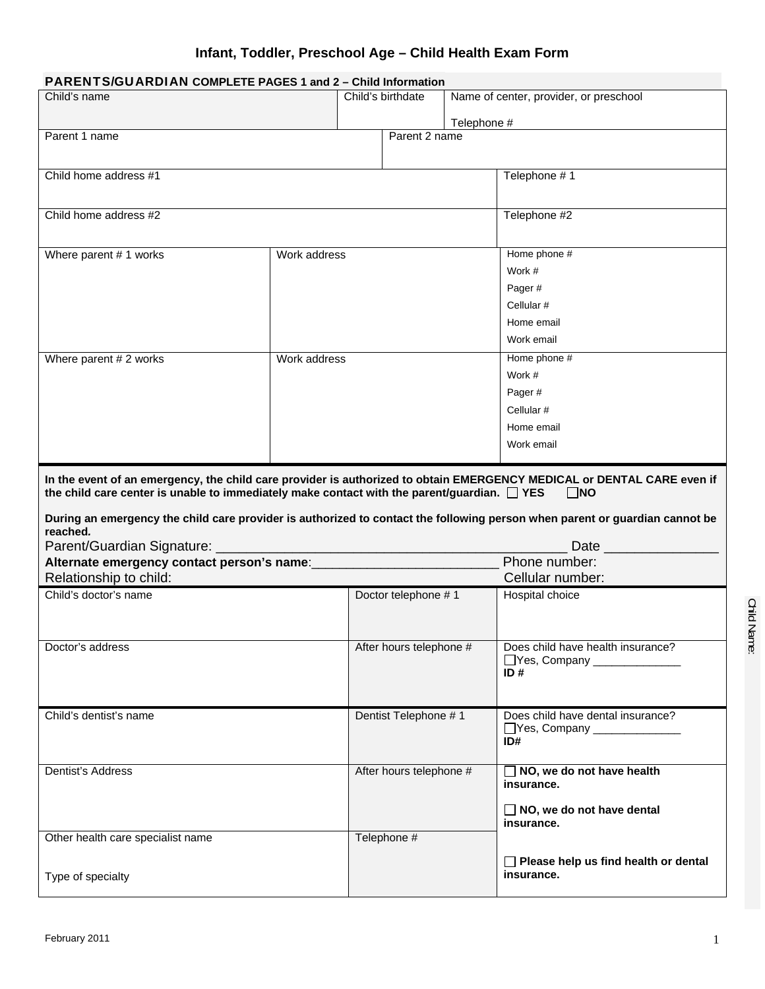# **Infant, Toddler, Preschool Age – Child Health Exam Form**

| PARENTS/GUARDIAN COMPLETE PAGES 1 and 2 - Child Information                                                                                                                                                                                                                                                                                                                  |              |                         |                     |             |                                                           |  |  |  |  |  |  |
|------------------------------------------------------------------------------------------------------------------------------------------------------------------------------------------------------------------------------------------------------------------------------------------------------------------------------------------------------------------------------|--------------|-------------------------|---------------------|-------------|-----------------------------------------------------------|--|--|--|--|--|--|
| Child's name                                                                                                                                                                                                                                                                                                                                                                 |              |                         | Child's birthdate   |             | Name of center, provider, or preschool                    |  |  |  |  |  |  |
|                                                                                                                                                                                                                                                                                                                                                                              |              |                         |                     |             |                                                           |  |  |  |  |  |  |
| Parent 1 name                                                                                                                                                                                                                                                                                                                                                                |              |                         | Parent 2 name       | Telephone # |                                                           |  |  |  |  |  |  |
|                                                                                                                                                                                                                                                                                                                                                                              |              |                         |                     |             |                                                           |  |  |  |  |  |  |
|                                                                                                                                                                                                                                                                                                                                                                              |              |                         |                     |             |                                                           |  |  |  |  |  |  |
| Child home address #1                                                                                                                                                                                                                                                                                                                                                        |              |                         |                     |             | Telephone #1                                              |  |  |  |  |  |  |
|                                                                                                                                                                                                                                                                                                                                                                              |              |                         |                     |             |                                                           |  |  |  |  |  |  |
| Child home address #2                                                                                                                                                                                                                                                                                                                                                        |              |                         |                     |             | Telephone #2                                              |  |  |  |  |  |  |
|                                                                                                                                                                                                                                                                                                                                                                              |              |                         |                     |             |                                                           |  |  |  |  |  |  |
|                                                                                                                                                                                                                                                                                                                                                                              |              |                         |                     |             |                                                           |  |  |  |  |  |  |
| Where parent #1 works<br>Work address                                                                                                                                                                                                                                                                                                                                        |              |                         |                     |             | Home phone #                                              |  |  |  |  |  |  |
|                                                                                                                                                                                                                                                                                                                                                                              |              |                         |                     |             | Work #                                                    |  |  |  |  |  |  |
|                                                                                                                                                                                                                                                                                                                                                                              |              |                         |                     |             | Pager#                                                    |  |  |  |  |  |  |
|                                                                                                                                                                                                                                                                                                                                                                              |              |                         |                     |             | Cellular #                                                |  |  |  |  |  |  |
|                                                                                                                                                                                                                                                                                                                                                                              |              |                         |                     |             | Home email                                                |  |  |  |  |  |  |
|                                                                                                                                                                                                                                                                                                                                                                              |              |                         |                     |             | Work email                                                |  |  |  |  |  |  |
| Where parent # 2 works                                                                                                                                                                                                                                                                                                                                                       | Work address |                         |                     |             | Home phone #                                              |  |  |  |  |  |  |
|                                                                                                                                                                                                                                                                                                                                                                              |              |                         |                     |             | Work #                                                    |  |  |  |  |  |  |
|                                                                                                                                                                                                                                                                                                                                                                              |              |                         |                     |             | Pager#                                                    |  |  |  |  |  |  |
|                                                                                                                                                                                                                                                                                                                                                                              |              |                         |                     |             | Cellular #                                                |  |  |  |  |  |  |
|                                                                                                                                                                                                                                                                                                                                                                              |              |                         |                     |             | Home email                                                |  |  |  |  |  |  |
|                                                                                                                                                                                                                                                                                                                                                                              |              |                         |                     |             | Work email                                                |  |  |  |  |  |  |
|                                                                                                                                                                                                                                                                                                                                                                              |              |                         |                     |             |                                                           |  |  |  |  |  |  |
| In the event of an emergency, the child care provider is authorized to obtain EMERGENCY MEDICAL or DENTAL CARE even if<br>the child care center is unable to immediately make contact with the parent/guardian. $\square$ YES<br>$\square$ NO<br>During an emergency the child care provider is authorized to contact the following person when parent or guardian cannot be |              |                         |                     |             |                                                           |  |  |  |  |  |  |
| reached.<br>Parent/Guardian Signature: __________                                                                                                                                                                                                                                                                                                                            |              |                         |                     |             |                                                           |  |  |  |  |  |  |
|                                                                                                                                                                                                                                                                                                                                                                              |              |                         |                     |             | Phone number:                                             |  |  |  |  |  |  |
| Relationship to child:                                                                                                                                                                                                                                                                                                                                                       |              |                         |                     |             | Cellular number:                                          |  |  |  |  |  |  |
| Child's doctor's name                                                                                                                                                                                                                                                                                                                                                        |              |                         | Doctor telephone #1 |             | Hospital choice                                           |  |  |  |  |  |  |
|                                                                                                                                                                                                                                                                                                                                                                              |              |                         |                     |             |                                                           |  |  |  |  |  |  |
| Doctor's address                                                                                                                                                                                                                                                                                                                                                             |              | After hours telephone # |                     |             | Does child have health insurance?                         |  |  |  |  |  |  |
|                                                                                                                                                                                                                                                                                                                                                                              |              |                         |                     |             | Yes, Company ___________                                  |  |  |  |  |  |  |
|                                                                                                                                                                                                                                                                                                                                                                              |              |                         |                     |             | ID#                                                       |  |  |  |  |  |  |
|                                                                                                                                                                                                                                                                                                                                                                              |              |                         |                     |             |                                                           |  |  |  |  |  |  |
| Child's dentist's name                                                                                                                                                                                                                                                                                                                                                       |              | Dentist Telephone #1    |                     |             | Does child have dental insurance?                         |  |  |  |  |  |  |
|                                                                                                                                                                                                                                                                                                                                                                              |              |                         |                     |             | Yes, Company ___________                                  |  |  |  |  |  |  |
|                                                                                                                                                                                                                                                                                                                                                                              |              |                         |                     |             | ID#                                                       |  |  |  |  |  |  |
|                                                                                                                                                                                                                                                                                                                                                                              |              |                         |                     |             |                                                           |  |  |  |  |  |  |
| Dentist's Address                                                                                                                                                                                                                                                                                                                                                            |              | After hours telephone # |                     |             | $\Box$ NO, we do not have health<br>insurance.            |  |  |  |  |  |  |
|                                                                                                                                                                                                                                                                                                                                                                              |              |                         |                     |             | $\Box$ NO, we do not have dental<br>insurance.            |  |  |  |  |  |  |
| Other health care specialist name                                                                                                                                                                                                                                                                                                                                            |              |                         | Telephone #         |             |                                                           |  |  |  |  |  |  |
|                                                                                                                                                                                                                                                                                                                                                                              |              |                         |                     |             |                                                           |  |  |  |  |  |  |
| Type of specialty                                                                                                                                                                                                                                                                                                                                                            |              |                         |                     |             | $\Box$ Please help us find health or dental<br>insurance. |  |  |  |  |  |  |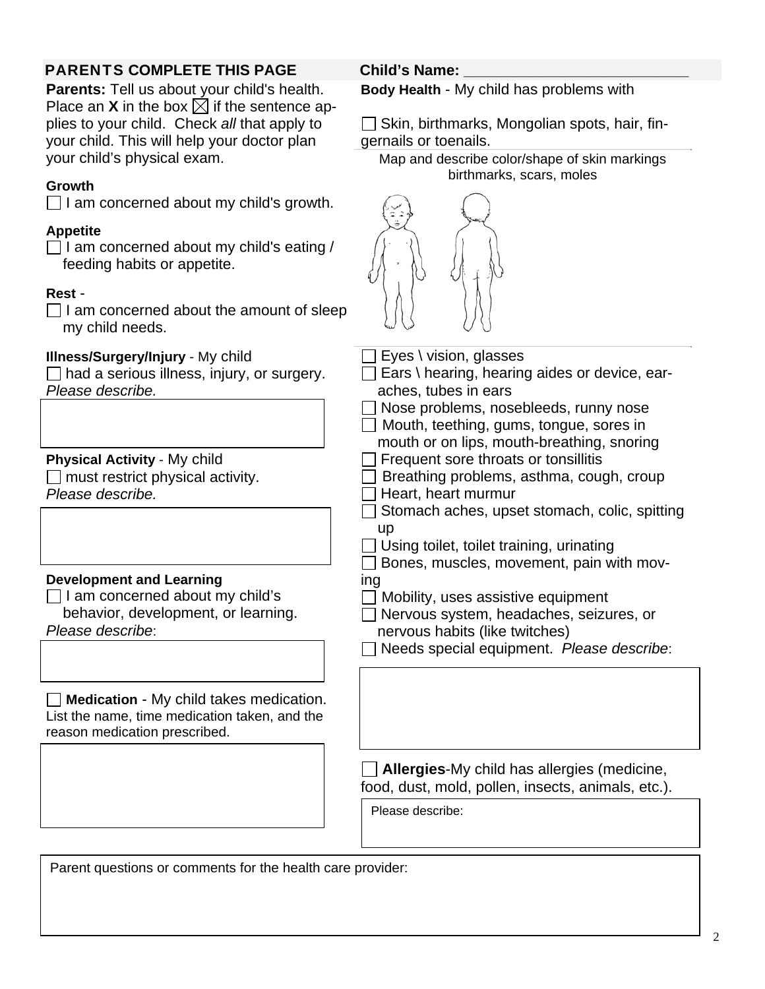# PARENTS COMPLETE THIS PAGE Child's Name:

**Parents:** Tell us about your child's health. Place an **X** in the box  $\boxtimes$  if the sentence applies to your child. Check *all* that apply to your child. This will help your doctor plan your child's physical exam.

## **Growth**

 $\Box$  I am concerned about my child's growth.

## **Appetite**

 $\Box$  I am concerned about my child's eating / feeding habits or appetite.

## **Rest** -

 $\Box$  I am concerned about the amount of sleep my child needs.

## **Illness/Surgery/Injury** - My child

 $\Box$  had a serious illness, injury, or surgery. *Please describe.*

**Physical Activity** - My child

 $\Box$  must restrict physical activity. *Please describe.*

## **Development and Learning**

 $\Box$  I am concerned about my child's behavior, development, or learning.

*Please describe*:

**Medication** - My child takes medication. List the name, time medication taken, and the reason medication prescribed.

**Body Health** - My child has problems with

 $\Box$  Skin, birthmarks, Mongolian spots, hair, fingernails or toenails.

Map and describe color/shape of skin markings birthmarks, scars, moles



 $\Box$  Eyes \ vision, glasses

- $\Box$  Ears \ hearing, hearing aides or device, earaches, tubes in ears
- Nose problems, nosebleeds, runny nose
- Mouth, teething, gums, tongue, sores in
- mouth or on lips, mouth-breathing, snoring
- $\Box$  Frequent sore throats or tonsillitis
- $\Box$  Breathing problems, asthma, cough, croup  $\Box$  Heart, heart murmur
- $\Box$  Stomach aches, upset stomach, colic, spitting up
- $\Box$  Using toilet, toilet training, urinating
- $\Box$  Bones, muscles, movement, pain with moving
- $\Box$  Mobility, uses assistive equipment
- Nervous system, headaches, seizures, or nervous habits (like twitches)
- Needs special equipment. *Please describe*:

**Allergies**-My child has allergies (medicine, food, dust, mold, pollen, insects, animals, etc.).

Please describe:

Parent questions or comments for the health care provider: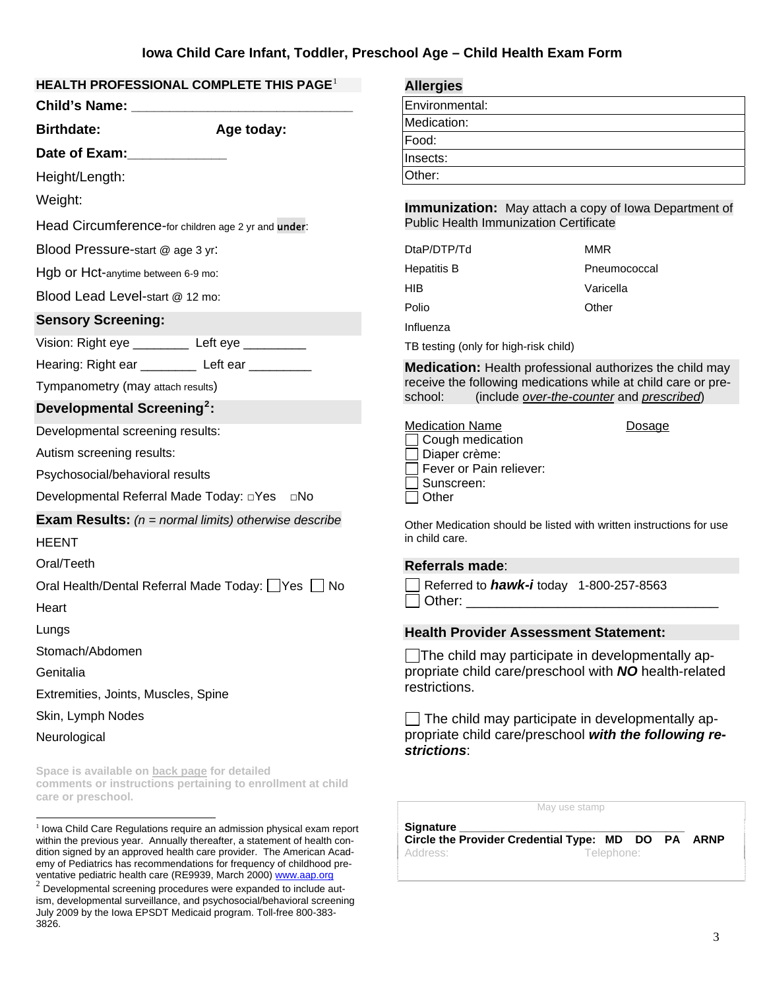#### **HEALTH PROFESSIONAL COMPLETE THIS PAGE**[1](#page-2-0)

|                                                                    | III FINUI LOOIUNAL CUMFLLIL IIIIO FAUL                         | Allei yles                                                                                                                                                                                                                     |
|--------------------------------------------------------------------|----------------------------------------------------------------|--------------------------------------------------------------------------------------------------------------------------------------------------------------------------------------------------------------------------------|
|                                                                    |                                                                | Environmental:                                                                                                                                                                                                                 |
| <b>Birthdate:</b>                                                  | Age today:                                                     | Medication:                                                                                                                                                                                                                    |
| Date of Exam:_____________                                         |                                                                | Food:                                                                                                                                                                                                                          |
| Height/Length:                                                     |                                                                | Insects:<br>Other:                                                                                                                                                                                                             |
|                                                                    |                                                                |                                                                                                                                                                                                                                |
| Weight:                                                            |                                                                | Immunization: May at                                                                                                                                                                                                           |
| Head Circumference-for children age 2 yr and under:                |                                                                | <b>Public Health Immunizati</b>                                                                                                                                                                                                |
| Blood Pressure-start @ age 3 yr:                                   |                                                                | DtaP/DTP/Td                                                                                                                                                                                                                    |
| Hgb or Hct-anytime between 6-9 mo:                                 |                                                                | <b>Hepatitis B</b>                                                                                                                                                                                                             |
| Blood Lead Level-start @ 12 mo:                                    |                                                                | <b>HIB</b>                                                                                                                                                                                                                     |
| <b>Sensory Screening:</b>                                          |                                                                | Polio<br>Influenza                                                                                                                                                                                                             |
| Vision: Right eye __________ Left eye __________                   |                                                                | TB testing (only for high-risl                                                                                                                                                                                                 |
| Hearing: Right ear ___________ Left ear _________                  |                                                                | <b>Medication: Health pro</b>                                                                                                                                                                                                  |
| Tympanometry (may attach results)                                  |                                                                | receive the following med                                                                                                                                                                                                      |
| Developmental Screening <sup>2</sup> :                             |                                                                | school:<br>(include ove                                                                                                                                                                                                        |
| Developmental screening results:                                   |                                                                | <b>Medication Name</b>                                                                                                                                                                                                         |
| Autism screening results:                                          |                                                                | Cough medication<br>$\Box$ Diaper crème:                                                                                                                                                                                       |
| Psychosocial/behavioral results                                    |                                                                | Fever or Pain reliever                                                                                                                                                                                                         |
|                                                                    |                                                                | Sunscreen:<br>Other                                                                                                                                                                                                            |
|                                                                    | <b>Exam Results:</b> ( $n = normal$ limits) otherwise describe |                                                                                                                                                                                                                                |
| <b>HEENT</b>                                                       |                                                                | Other Medication should be<br>in child care.                                                                                                                                                                                   |
| Oral/Teeth                                                         |                                                                | Referrals made:                                                                                                                                                                                                                |
|                                                                    | Oral Health/Dental Referral Made Today: Yes No                 | Referred to <b>hawk-i</b> t                                                                                                                                                                                                    |
| Heart                                                              |                                                                | Other: and the control of the control of the control of the control of the control of the control of the control of the control of the control of the control of the control of the control of the control of the control of t |
| Lungs                                                              |                                                                | <b>Health Provider Asse</b>                                                                                                                                                                                                    |
| Stomach/Abdomen                                                    |                                                                |                                                                                                                                                                                                                                |
| Genitalia                                                          |                                                                | $\Box$ The child may partic<br>propriate child care/pre                                                                                                                                                                        |
| Extremities, Joints, Muscles, Spine                                |                                                                | restrictions.                                                                                                                                                                                                                  |
| Skin, Lymph Nodes                                                  |                                                                | $\Box$ The child may parti                                                                                                                                                                                                     |
| Neurological                                                       |                                                                | propriate child care/pre<br>strictions:                                                                                                                                                                                        |
| Space is available on back page for detailed<br>care or preschool. | comments or instructions pertaining to enrollment at child     | $\mathbb N$                                                                                                                                                                                                                    |
|                                                                    |                                                                |                                                                                                                                                                                                                                |

<span id="page-2-0"></span> $1$  Iowa Child Care Regulations require an admission physical exam report within the previous year. Annually thereafter, a statement of health condition signed by an approved health care provider. The American Academy of Pediatrics has recommendations for frequency of childhood preventative pediatric health care (RE9939, March 2000) www.aap.org

<span id="page-2-1"></span> $^{2}$  Developmental screening procedures were expanded to include autism, developmental surveillance, and psychosocial/behavioral screening July 2009 by the Iowa EPSDT Medicaid program. Toll-free 800-383- 3826.

**Allergies**

| Environmental: |
|----------------|
| Medication:    |
| Food:          |
| nsects:        |
| Other:         |
|                |

**Itach a copy of Iowa Department of** on Certificate

| DtaP/DTP/Td | MMR          |
|-------------|--------------|
| Hepatitis B | Pneumococcal |
| HIB         | Varicella    |
| Polio       | Other        |
| Influenza   |              |

k child)

fessional authorizes the child may dications while at child care or pre $sr$ -the-counter and *prescribed*)

Dosage

| ledication Name         |
|-------------------------|
| Cough medication        |
| $\Box$ Diaper crème:    |
| Fever or Pain reliever: |
| Sunscreen:              |
| $\sqcap$ Other          |
|                         |

listed with written instructions for use

Referred to *hawk-i* today 1-800-257-8563 Other: \_\_\_\_\_\_\_\_\_\_\_\_\_\_\_\_\_\_\_\_\_\_\_\_\_\_\_\_\_\_\_\_\_

#### **Sament Statement:**

tipate in developmentally apeschool with *NO* health-related

cipate in developmentally apeschool with the following re-

May use stamp

**Signature \_\_\_\_\_\_\_\_\_\_\_\_\_\_\_\_\_\_\_\_\_\_\_\_\_\_\_\_\_\_\_\_\_\_\_\_ Circle the Provider Credential Type: MD DO PA ARNP**  Address: Telephone: